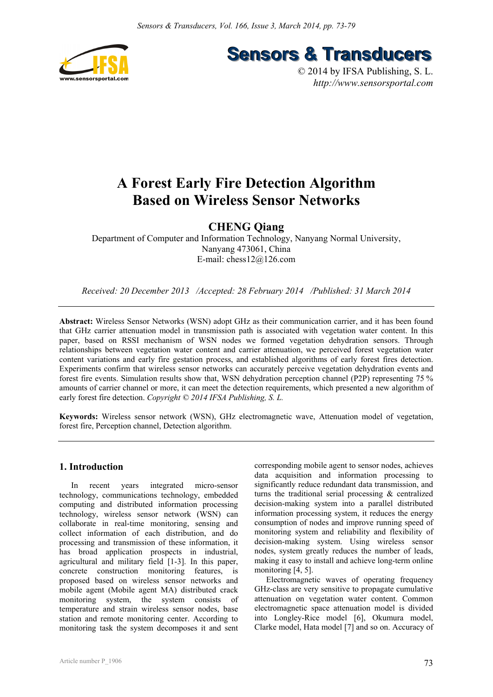

**Sensors & Transducers** 

© 2014 by IFSA Publishing, S. L. *http://www.sensorsportal.com*

# **A Forest Early Fire Detection Algorithm Based on Wireless Sensor Networks**

## **CHENG Qiang**

Department of Computer and Information Technology, Nanyang Normal University, Nanyang 473061, China E-mail: chess12@126.com

*Received: 20 December 2013 /Accepted: 28 February 2014 /Published: 31 March 2014* 

**Abstract:** Wireless Sensor Networks (WSN) adopt GHz as their communication carrier, and it has been found that GHz carrier attenuation model in transmission path is associated with vegetation water content. In this paper, based on RSSI mechanism of WSN nodes we formed vegetation dehydration sensors. Through relationships between vegetation water content and carrier attenuation, we perceived forest vegetation water content variations and early fire gestation process, and established algorithms of early forest fires detection. Experiments confirm that wireless sensor networks can accurately perceive vegetation dehydration events and forest fire events. Simulation results show that, WSN dehydration perception channel (P2P) representing 75 % amounts of carrier channel or more, it can meet the detection requirements, which presented a new algorithm of early forest fire detection. *Copyright © 2014 IFSA Publishing, S. L.*

**Keywords:** Wireless sensor network (WSN), GHz electromagnetic wave, Attenuation model of vegetation, forest fire, Perception channel, Detection algorithm.

## **1. Introduction**

In recent years integrated micro-sensor technology, communications technology, embedded computing and distributed information processing technology, wireless sensor network (WSN) can collaborate in real-time monitoring, sensing and collect information of each distribution, and do processing and transmission of these information, it has broad application prospects in industrial, agricultural and military field [1-3]. In this paper, concrete construction monitoring features, is proposed based on wireless sensor networks and mobile agent (Mobile agent MA) distributed crack monitoring system, the system consists of temperature and strain wireless sensor nodes, base station and remote monitoring center. According to monitoring task the system decomposes it and sent

corresponding mobile agent to sensor nodes, achieves data acquisition and information processing to significantly reduce redundant data transmission, and turns the traditional serial processing & centralized decision-making system into a parallel distributed information processing system, it reduces the energy consumption of nodes and improve running speed of monitoring system and reliability and flexibility of decision-making system. Using wireless sensor nodes, system greatly reduces the number of leads, making it easy to install and achieve long-term online monitoring [4, 5].

Electromagnetic waves of operating frequency GHz-class are very sensitive to propagate cumulative attenuation on vegetation water content. Common electromagnetic space attenuation model is divided into Longley-Rice model [6], Okumura model, Clarke model, Hata model [7] and so on. Accuracy of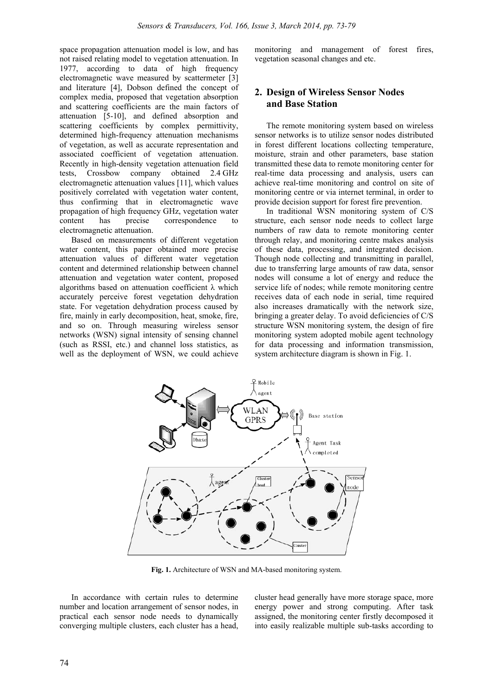space propagation attenuation model is low, and has not raised relating model to vegetation attenuation. In 1977, according to data of high frequency electromagnetic wave measured by scattermeter [3] and literature [4], Dobson defined the concept of complex media, proposed that vegetation absorption and scattering coefficients are the main factors of attenuation [5-10], and defined absorption and scattering coefficients by complex permittivity, determined high-frequency attenuation mechanisms of vegetation, as well as accurate representation and associated coefficient of vegetation attenuation. Recently in high-density vegetation attenuation field tests, Crossbow company obtained 2.4 GHz electromagnetic attenuation values [11], which values positively correlated with vegetation water content, thus confirming that in electromagnetic wave propagation of high frequency GHz, vegetation water content has precise correspondence to electromagnetic attenuation.

Based on measurements of different vegetation water content, this paper obtained more precise attenuation values of different water vegetation content and determined relationship between channel attenuation and vegetation water content, proposed algorithms based on attenuation coefficient  $\lambda$  which accurately perceive forest vegetation dehydration state. For vegetation dehydration process caused by fire, mainly in early decomposition, heat, smoke, fire, and so on. Through measuring wireless sensor networks (WSN) signal intensity of sensing channel (such as RSSI, etc.) and channel loss statistics, as well as the deployment of WSN, we could achieve monitoring and management of forest fires, vegetation seasonal changes and etc.

## **2. Design of Wireless Sensor Nodes and Base Station**

The remote monitoring system based on wireless sensor networks is to utilize sensor nodes distributed in forest different locations collecting temperature, moisture, strain and other parameters, base station transmitted these data to remote monitoring center for real-time data processing and analysis, users can achieve real-time monitoring and control on site of monitoring centre or via internet terminal, in order to provide decision support for forest fire prevention.

In traditional WSN monitoring system of C/S structure, each sensor node needs to collect large numbers of raw data to remote monitoring center through relay, and monitoring centre makes analysis of these data, processing, and integrated decision. Though node collecting and transmitting in parallel, due to transferring large amounts of raw data, sensor nodes will consume a lot of energy and reduce the service life of nodes; while remote monitoring centre receives data of each node in serial, time required also increases dramatically with the network size, bringing a greater delay. To avoid deficiencies of C/S structure WSN monitoring system, the design of fire monitoring system adopted mobile agent technology for data processing and information transmission, system architecture diagram is shown in Fig. 1.



**Fig. 1.** Architecture of WSN and MA-based monitoring system.

In accordance with certain rules to determine number and location arrangement of sensor nodes, in practical each sensor node needs to dynamically converging multiple clusters, each cluster has a head, cluster head generally have more storage space, more energy power and strong computing. After task assigned, the monitoring center firstly decomposed it into easily realizable multiple sub-tasks according to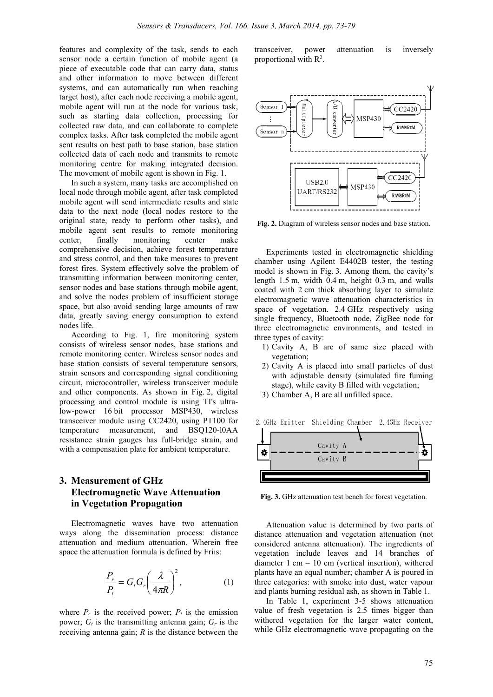features and complexity of the task, sends to each sensor node a certain function of mobile agent (a piece of executable code that can carry data, status and other information to move between different systems, and can automatically run when reaching target host), after each node receiving a mobile agent, mobile agent will run at the node for various task, such as starting data collection, processing for collected raw data, and can collaborate to complete complex tasks. After task completed the mobile agent sent results on best path to base station, base station collected data of each node and transmits to remote monitoring centre for making integrated decision. The movement of mobile agent is shown in Fig. 1.

In such a system, many tasks are accomplished on local node through mobile agent, after task completed mobile agent will send intermediate results and state data to the next node (local nodes restore to the original state, ready to perform other tasks), and mobile agent sent results to remote monitoring center, finally monitoring center make comprehensive decision, achieve forest temperature and stress control, and then take measures to prevent forest fires. System effectively solve the problem of transmitting information between monitoring center, sensor nodes and base stations through mobile agent, and solve the nodes problem of insufficient storage space, but also avoid sending large amounts of raw data, greatly saving energy consumption to extend nodes life.

According to Fig. 1, fire monitoring system consists of wireless sensor nodes, base stations and remote monitoring center. Wireless sensor nodes and base station consists of several temperature sensors, strain sensors and corresponding signal conditioning circuit, microcontroller, wireless transceiver module and other components. As shown in Fig. 2, digital processing and control module is using TI's ultralow-power 16 bit processor MSP430, wireless transceiver module using CC2420, using PT100 for temperature measurement, and BSQ120-l0AA resistance strain gauges has full-bridge strain, and with a compensation plate for ambient temperature.

## **3. Measurement of GHz Electromagnetic Wave Attenuation in Vegetation Propagation**

Electromagnetic waves have two attenuation ways along the dissemination process: distance attenuation and medium attenuation. Wherein free space the attenuation formula is defined by Friis:

$$
\frac{P_r}{P_t} = G_t G_r \left(\frac{\lambda}{4\pi R}\right)^2, \tag{1}
$$

where  $P_r$  is the received power;  $P_t$  is the emission power;  $G_t$  is the transmitting antenna gain;  $G_r$  is the receiving antenna gain; *R* is the distance between the

transceiver, power attenuation is inversely proportional with  $\mathbb{R}^2$ .



**Fig. 2.** Diagram of wireless sensor nodes and base station.

Experiments tested in electromagnetic shielding chamber using Agilent E4402B tester, the testing model is shown in Fig. 3. Among them, the cavity's length 1.5 m, width 0.4 m, height 0.3 m, and walls coated with 2 cm thick absorbing layer to simulate electromagnetic wave attenuation characteristics in space of vegetation. 2.4 GHz respectively using single frequency, Bluetooth node, ZigBee node for three electromagnetic environments, and tested in three types of cavity:

- 1) Cavity A, B are of same size placed with vegetation;
- 2) Cavity A is placed into small particles of dust with adjustable density (simulated fire fuming stage), while cavity B filled with vegetation;
- 3) Chamber A, B are all unfilled space.

2.4GHz Emitter Shielding Chamber 2.4GHz Receiver Cavity A Cavity B

**Fig. 3.** GHz attenuation test bench for forest vegetation.

Attenuation value is determined by two parts of distance attenuation and vegetation attenuation (not considered antenna attenuation). The ingredients of vegetation include leaves and 14 branches of diameter 1 cm – 10 cm (vertical insertion), withered plants have an equal number; chamber A is poured in three categories: with smoke into dust, water vapour and plants burning residual ash, as shown in Table 1.

In Table 1, experiment 3-5 shows attenuation value of fresh vegetation is 2.5 times bigger than withered vegetation for the larger water content, while GHz electromagnetic wave propagating on the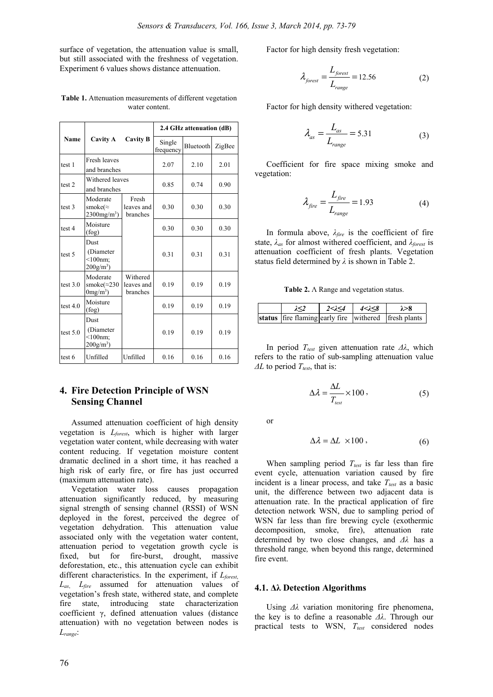surface of vegetation, the attenuation value is small, but still associated with the freshness of vegetation. Experiment 6 values shows distance attenuation.

|                   | Cavity A                                                     | Cavity B                           | 2.4 GHz attenuation (dB) |           |        |  |
|-------------------|--------------------------------------------------------------|------------------------------------|--------------------------|-----------|--------|--|
| <b>Name</b>       |                                                              |                                    | Single<br>frequency      | Bluetooth | ZigBee |  |
| test 1            | Fresh leaves<br>and branches                                 |                                    | 2.07                     | 2.10      | 2.01   |  |
| test <sub>2</sub> | Withered leaves<br>and branches                              |                                    | 0.85                     | 0.74      | 0.90   |  |
| test 3            | Moderate<br>smoke( $\approx$<br>$2300$ mg/m <sup>3</sup> )   | Fresh<br>leaves and<br>branches    | 0.30                     | 0.30      | 0.30   |  |
| test 4            | Moisture<br>(fog)                                            |                                    | 0.30                     | 0.30      | 0.30   |  |
| test 5            | Dust<br>(Diameter<br>$<$ 100nm;<br>$200$ g/m <sup>3</sup> )  |                                    | 0.31                     | 0.31      | 0.31   |  |
| test $3.0$        | Moderate<br>smoke $(\approx 230)$<br>$0$ mg/m <sup>3</sup> ) | Withered<br>leaves and<br>branches | 0.19                     | 0.19      | 0.19   |  |
| test $4.0$        | Moisture<br>(fog)                                            |                                    | 0.19                     | 0.19      | 0.19   |  |
| test $5.0$        | Dust<br>(Diameter)<br>$<$ 100nm;<br>$200$ g/m <sup>3</sup> ) |                                    | 0.19                     | 0.19      | 0.19   |  |
| test 6            | Unfilled                                                     | Unfilled                           | 0.16                     | 0.16      | 0.16   |  |

**Table 1.** Attenuation measurements of different vegetation water content.

## **4. Fire Detection Principle of WSN Sensing Channel**

Assumed attenuation coefficient of high density vegetation is *Lforest*, which is higher with larger vegetation water content, while decreasing with water content reducing. If vegetation moisture content dramatic declined in a short time, it has reached a high risk of early fire, or fire has just occurred (maximum attenuation rate).

Vegetation water loss causes propagation attenuation significantly reduced, by measuring signal strength of sensing channel (RSSI) of WSN deployed in the forest, perceived the degree of vegetation dehydration. This attenuation value associated only with the vegetation water content, attenuation period to vegetation growth cycle is fixed, but for fire-burst, drought, massive deforestation, etc., this attenuation cycle can exhibit different characteristics. In the experiment, if *Lforest*, *Las*, *Lfire* assumed for attenuation values of vegetation's fresh state, withered state, and complete fire state, introducing state characterization coefficient γ, defined attenuation values (distance attenuation) with no vegetation between nodes is *Lrange*:

Factor for high density fresh vegetation:

$$
\lambda_{forest} = \frac{L_{forest}}{L_{range}} = 12.56
$$
 (2)

Factor for high density withered vegetation:

$$
\lambda_{as} = \frac{L_{as}}{L_{range}} = 5.31\tag{3}
$$

Coefficient for fire space mixing smoke and vegetation:

$$
\lambda_{fire} = \frac{L_{fire}}{L_{range}} = 1.93\tag{4}
$$

In formula above, *λfire* is the coefficient of fire state, *λas* for almost withered coefficient, and *λforest* is attenuation coefficient of fresh plants. Vegetation status field determined by *λ* is shown in Table 2.

**Table 2.** Λ Range and vegetation status.

|  | $2 < \lambda < 4$ | 4<2<8 | $\lambda > 8$                                        |
|--|-------------------|-------|------------------------------------------------------|
|  |                   |       | status fire flaming early fire withered fresh plants |

In period *T<sub>test</sub>* given attenuation rate Δλ, which refers to the ratio of sub-sampling attenuation value *ΔL* to period *T*<sub>test</sub>, that is:

$$
\Delta \lambda = \frac{\Delta L}{T_{\text{test}}} \times 100 \,, \tag{5}
$$

or

$$
\Delta \lambda = \Delta L \times 100 \,, \tag{6}
$$

When sampling period  $T_{test}$  is far less than fire event cycle, attenuation variation caused by fire incident is a linear process, and take  $T_{test}$  as a basic unit, the difference between two adjacent data is attenuation rate. In the practical application of fire detection network WSN, due to sampling period of WSN far less than fire brewing cycle (exothermic decomposition, smoke, fire), attenuation rate determined by two close changes, and *Δλ* has a threshold range*,* when beyond this range, determined fire event.

#### **4.1. Δλ Detection Algorithms**

Using *Δλ* variation monitoring fire phenomena, the key is to define a reasonable *Δλ*. Through our practical tests to WSN,  $T_{test}$  considered nodes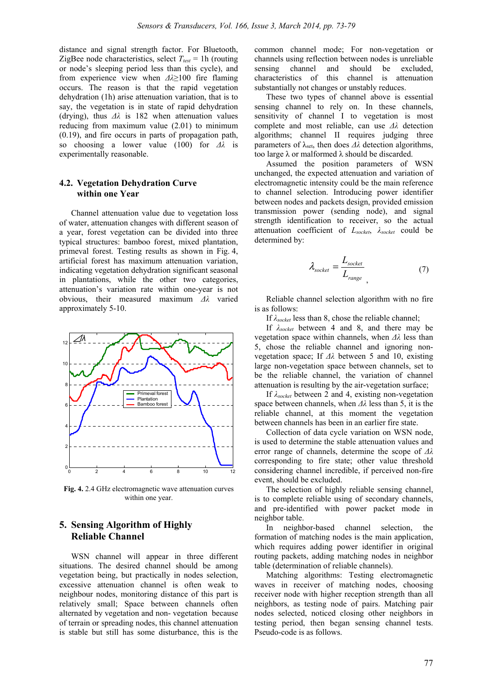distance and signal strength factor. For Bluetooth, ZigBee node characteristics, select  $T_{test} = 1$ h (routing or node's sleeping period less than this cycle), and from experience view when *Δλ*≥100 fire flaming occurs. The reason is that the rapid vegetation dehydration (1h) arise attenuation variation, that is to say, the vegetation is in state of rapid dehydration (drying), thus *Δλ* is 182 when attenuation values reducing from maximum value (2.01) to minimum (0.19), and fire occurs in parts of propagation path, so choosing a lower value (100) for *Δλ* is experimentally reasonable.

#### **4.2. Vegetation Dehydration Curve within one Year**

Channel attenuation value due to vegetation loss of water, attenuation changes with different season of a year, forest vegetation can be divided into three typical structures: bamboo forest, mixed plantation, primeval forest. Testing results as shown in Fig. 4, artificial forest has maximum attenuation variation, indicating vegetation dehydration significant seasonal in plantations, while the other two categories, attenuation's variation rate within one-year is not obvious, their measured maximum *Δλ* varied approximately 5-10.



**Fig. 4.** 2.4 GHz electromagnetic wave attenuation curves within one year.

## **5. Sensing Algorithm of Highly Reliable Channel**

WSN channel will appear in three different situations. The desired channel should be among vegetation being, but practically in nodes selection, excessive attenuation channel is often weak to neighbour nodes, monitoring distance of this part is relatively small; Space between channels often alternated by vegetation and non- vegetation because of terrain or spreading nodes, this channel attenuation is stable but still has some disturbance, this is the

common channel mode; For non-vegetation or channels using reflection between nodes is unreliable sensing channel and should be excluded, characteristics of this channel is attenuation substantially not changes or unstably reduces.

These two types of channel above is essential sensing channel to rely on. In these channels, sensitivity of channel I to vegetation is most complete and most reliable, can use *Δλ* detection algorithms; channel II requires judging three parameters of λset, then does *Δλ* detection algorithms, too large λ or malformed λ should be discarded.

Assumed the position parameters of WSN unchanged, the expected attenuation and variation of electromagnetic intensity could be the main reference to channel selection. Introducing power identifier between nodes and packets design, provided emission transmission power (sending node), and signal strength identification to receiver, so the actual attenuation coefficient of *Lsocket*, *λsocket* could be determined by:

$$
\lambda_{\text{socket}} = \frac{L_{\text{socket}}}{L_{\text{range}}}
$$
 (7)

Reliable channel selection algorithm with no fire is as follows:

If *λsocket* less than 8, chose the reliable channel;

If *λsocket* between 4 and 8, and there may be vegetation space within channels, when *Δλ* less than 5, chose the reliable channel and ignoring nonvegetation space; If *Δλ* between 5 and 10, existing large non-vegetation space between channels, set to be the reliable channel, the variation of channel attenuation is resulting by the air-vegetation surface;

If *λsocket* between 2 and 4, existing non-vegetation space between channels, when *Δλ* less than 5, it is the reliable channel, at this moment the vegetation between channels has been in an earlier fire state.

Collection of data cycle variation on WSN node, is used to determine the stable attenuation values and error range of channels, determine the scope of *Δλ* corresponding to fire state; other value threshold considering channel incredible, if perceived non-fire event, should be excluded.

The selection of highly reliable sensing channel, is to complete reliable using of secondary channels, and pre-identified with power packet mode in neighbor table.

In neighbor-based channel selection, the formation of matching nodes is the main application, which requires adding power identifier in original routing packets, adding matching nodes in neighbor table (determination of reliable channels).

Matching algorithms: Testing electromagnetic waves in receiver of matching nodes, choosing receiver node with higher reception strength than all neighbors, as testing node of pairs. Matching pair nodes selected, noticed closing other neighbors in testing period, then began sensing channel tests. Pseudo-code is as follows.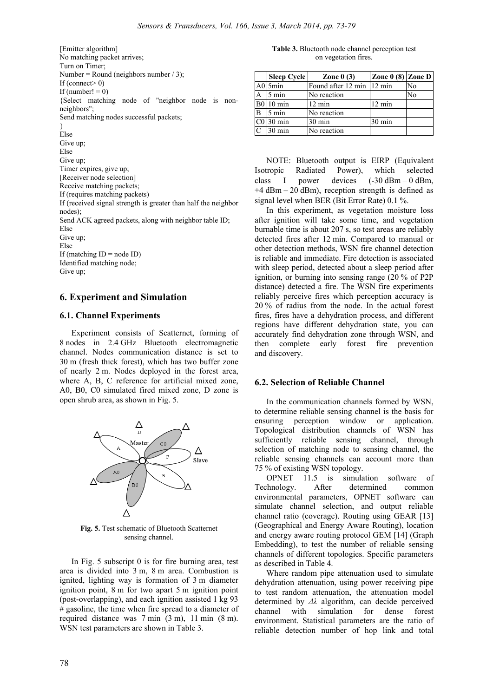[Emitter algorithm] No matching packet arrives; Turn on Timer; Number = Round (neighbors number  $/ 3$ ); If (connect  $0$ ) If (number!  $= 0$ ) {Select matching node of "neighbor node is nonneighbors"; Send matching nodes successful packets; } Else Give up; Else Give up; Timer expires, give up; [Receiver node selection] Receive matching packets; If (requires matching packets) If (received signal strength is greater than half the neighbor nodes); Send ACK agreed packets, along with neighbor table ID; Else Give up; Else If (matching  $ID = node ID$ ) Identified matching node;

Give up;

#### **6. Experiment and Simulation**

#### **6.1. Channel Experiments**

Experiment consists of Scatternet, forming of 8 nodes in 2.4 GHz Bluetooth electromagnetic channel. Nodes communication distance is set to 30 m (fresh thick forest), which has two buffer zone of nearly 2 m. Nodes deployed in the forest area, where A, B, C reference for artificial mixed zone, A0, B0, C0 simulated fired mixed zone, D zone is open shrub area, as shown in Fig. 5.



**Fig. 5.** Test schematic of Bluetooth Scatternet sensing channel.

In Fig. 5 subscript 0 is for fire burning area, test area is divided into 3 m, 8 m area. Combustion is ignited, lighting way is formation of 3 m diameter ignition point, 8 m for two apart 5 m ignition point (post-overlapping), and each ignition assisted 1 kg 93 # gasoline, the time when fire spread to a diameter of required distance was 7 min (3 m), 11 min (8 m). WSN test parameters are shown in Table 3.

**Table 3.** Bluetooth node channel perception test on vegetation fires.

|                | <b>Sleep Cycle</b> | Zone $0(3)$               | Zone 0 (8) Zone D |    |
|----------------|--------------------|---------------------------|-------------------|----|
|                | A0 5min            | Found after 12 min 12 min |                   | No |
| $\overline{A}$ | $5 \text{ min}$    | No reaction               |                   | No |
|                | <b>B0</b> 10 min   | $12 \text{ min}$          | $12 \text{ min}$  |    |
| $\bf{B}$       | $5 \text{ min}$    | No reaction               |                   |    |
|                | $CO$ 30 min        | $30 \text{ min}$          | 30 min            |    |
| $\mathcal{C}$  | $30 \text{ min}$   | No reaction               |                   |    |

NOTE: Bluetooth output is EIRP (Equivalent Isotropic Radiated Power), which selected class I power devices (-30 dBm – 0 dBm,  $+4$  dBm – 20 dBm), reception strength is defined as signal level when BER (Bit Error Rate) 0.1 %.

In this experiment, as vegetation moisture loss after ignition will take some time, and vegetation burnable time is about 207 s, so test areas are reliably detected fires after 12 min. Compared to manual or other detection methods, WSN fire channel detection is reliable and immediate. Fire detection is associated with sleep period, detected about a sleep period after ignition, or burning into sensing range (20 % of P2P distance) detected a fire. The WSN fire experiments reliably perceive fires which perception accuracy is 20 % of radius from the node. In the actual forest fires, fires have a dehydration process, and different regions have different dehydration state, you can accurately find dehydration zone through WSN, and then complete early forest fire prevention and discovery.

#### **6.2. Selection of Reliable Channel**

In the communication channels formed by WSN, to determine reliable sensing channel is the basis for ensuring perception window or application. Topological distribution channels of WSN has sufficiently reliable sensing channel, through selection of matching node to sensing channel, the reliable sensing channels can account more than 75 % of existing WSN topology.

OPNET 11.5 is simulation software of Technology. After determined common environmental parameters, OPNET software can simulate channel selection, and output reliable channel ratio (coverage). Routing using GEAR [13] (Geographical and Energy Aware Routing), location and energy aware routing protocol GEM [14] (Graph Embedding), to test the number of reliable sensing channels of different topologies. Specific parameters as described in Table 4.

Where random pipe attenuation used to simulate dehydration attenuation, using power receiving pipe to test random attenuation, the attenuation model determined by *Δλ* algorithm, can decide perceived channel with simulation for dense forest environment. Statistical parameters are the ratio of reliable detection number of hop link and total